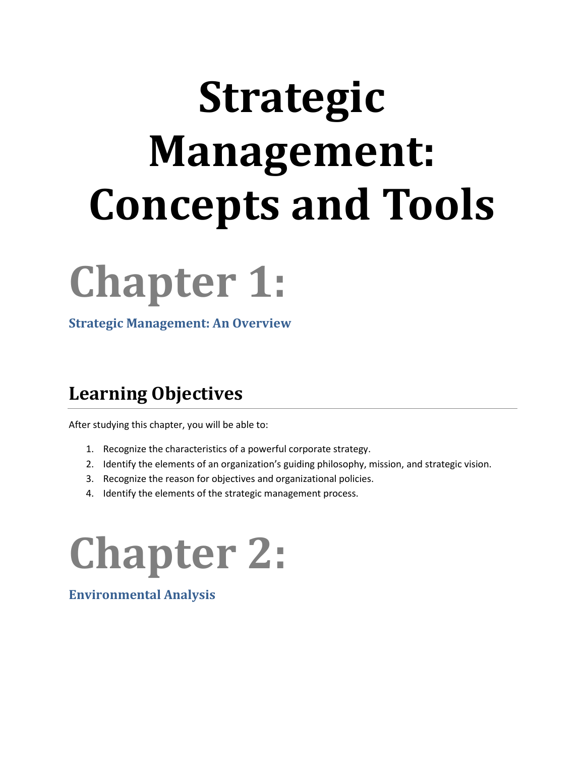# **Strategic Management: Concepts and Tools**



**Strategic Management: An Overview**

#### **Learning Objectives**

After studying this chapter, you will be able to:

- 1. Recognize the characteristics of a powerful corporate strategy.
- 2. Identify the elements of an organization's guiding philosophy, mission, and strategic vision.
- 3. Recognize the reason for objectives and organizational policies.
- 4. Identify the elements of the strategic management process.

## **Chapter 2:**

**Environmental Analysis**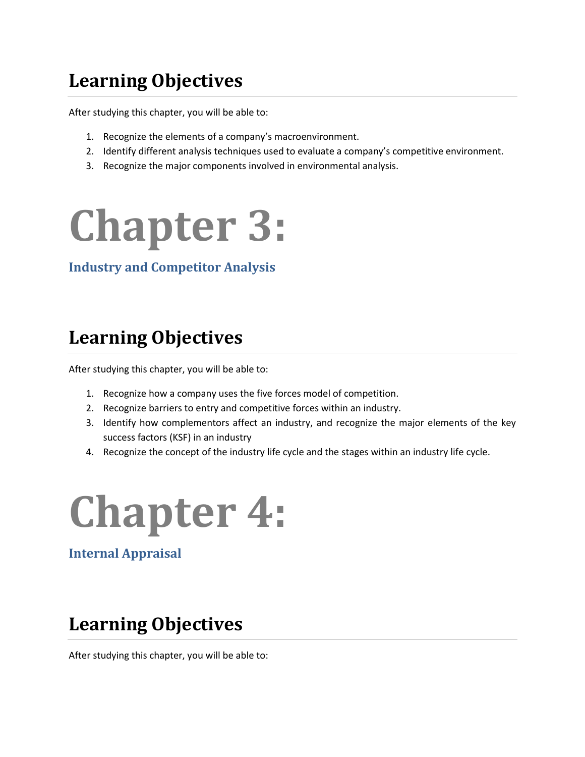### **Learning Objectives**

After studying this chapter, you will be able to:

- 1. Recognize the elements of a company's macroenvironment.
- 2. Identify different analysis techniques used to evaluate a company's competitive environment.
- 3. Recognize the major components involved in environmental analysis.



#### **Industry and Competitor Analysis**

#### **Learning Objectives**

After studying this chapter, you will be able to:

- 1. Recognize how a company uses the five forces model of competition.
- 2. Recognize barriers to entry and competitive forces within an industry.
- 3. Identify how complementors affect an industry, and recognize the major elements of the key success factors (KSF) in an industry
- 4. Recognize the concept of the industry life cycle and the stages within an industry life cycle.



**Internal Appraisal**

### **Learning Objectives**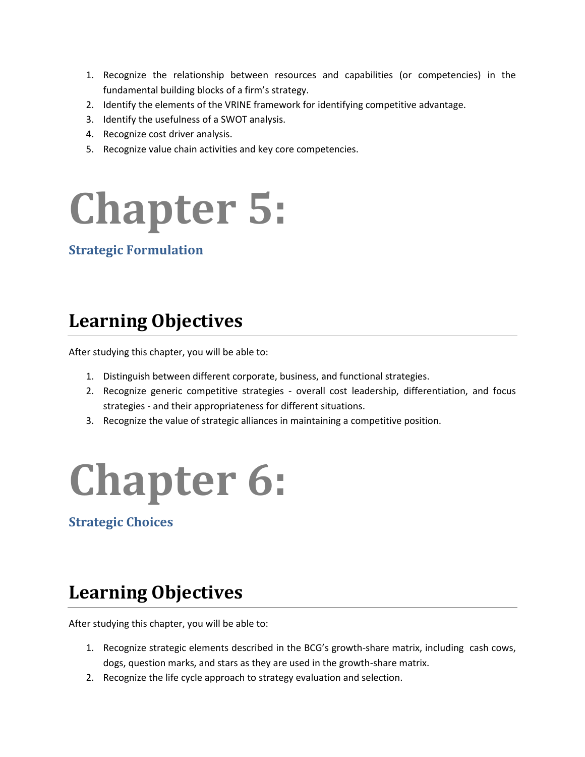- 1. Recognize the relationship between resources and capabilities (or competencies) in the fundamental building blocks of a firm's strategy.
- 2. Identify the elements of the VRINE framework for identifying competitive advantage.
- 3. Identify the usefulness of a SWOT analysis.
- 4. Recognize cost driver analysis.
- 5. Recognize value chain activities and key core competencies.

## **Chapter 5:**

#### **Strategic Formulation**

### **Learning Objectives**

After studying this chapter, you will be able to:

- 1. Distinguish between different corporate, business, and functional strategies.
- 2. Recognize generic competitive strategies overall cost leadership, differentiation, and focus strategies - and their appropriateness for different situations.
- 3. Recognize the value of strategic alliances in maintaining a competitive position.

## **Chapter 6:**

**Strategic Choices**

#### **Learning Objectives**

- 1. Recognize strategic elements described in the BCG's growth-share matrix, including cash cows, dogs, question marks, and stars as they are used in the growth-share matrix.
- 2. Recognize the life cycle approach to strategy evaluation and selection.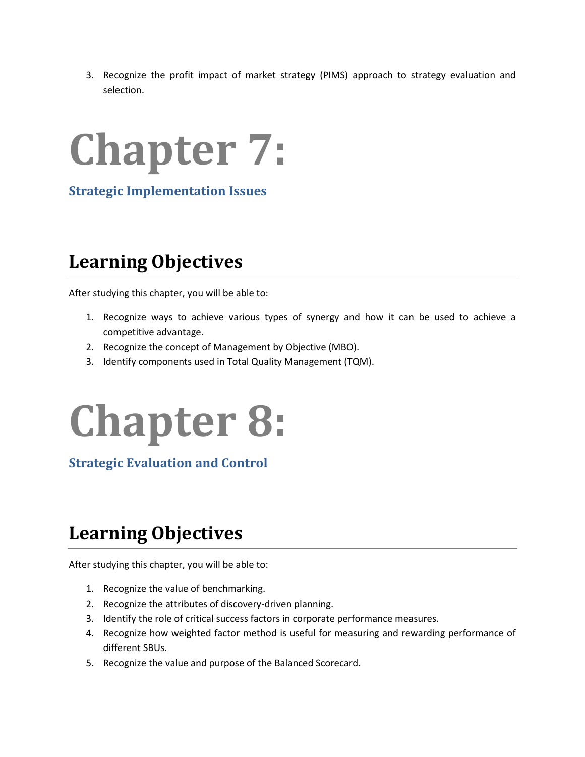3. Recognize the profit impact of market strategy (PIMS) approach to strategy evaluation and selection.



**Strategic Implementation Issues**

#### **Learning Objectives**

After studying this chapter, you will be able to:

- 1. Recognize ways to achieve various types of synergy and how it can be used to achieve a competitive advantage.
- 2. Recognize the concept of Management by Objective (MBO).
- 3. Identify components used in Total Quality Management (TQM).

### **Chapter 8:**

**Strategic Evaluation and Control**

### **Learning Objectives**

- 1. Recognize the value of benchmarking.
- 2. Recognize the attributes of discovery-driven planning.
- 3. Identify the role of critical success factors in corporate performance measures.
- 4. Recognize how weighted factor method is useful for measuring and rewarding performance of different SBUs.
- 5. Recognize the value and purpose of the Balanced Scorecard.